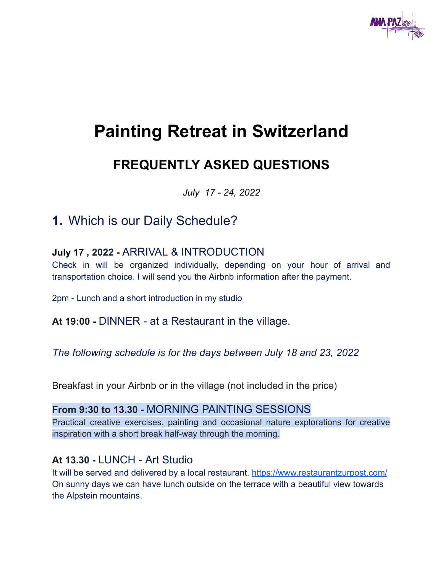

# **Painting Retreat in Switzerland**

# **FREQUENTLY ASKED QUESTIONS**

*July 17 - 24, 2022*

# **1.** Which is our Daily Schedule?

#### **July 17 , 2022 -** ARRIVAL & INTRODUCTION

Check in will be organized individually, depending on your hour of arrival and transportation choice. I will send you the Airbnb information after the payment.

2pm - Lunch and a short introduction in my studio

**At 19:00 -** DINNER - at a Restaurant in the village.

*The following schedule is for the days between July 18 and 23, 2022*

Breakfast in your Airbnb or in the village (not included in the price)

#### **From 9:30 to 13.30 -** MORNING PAINTING SESSIONS

Practical creative exercises, painting and occasional nature explorations for creative inspiration with a short break half-way through the morning.

#### **At 13.30 -** LUNCH - Art Studio

It will be served and delivered by a local restaurant. <https://www.restaurantzurpost.com/> On sunny days we can have lunch outside on the terrace with a beautiful view towards the Alpstein mountains.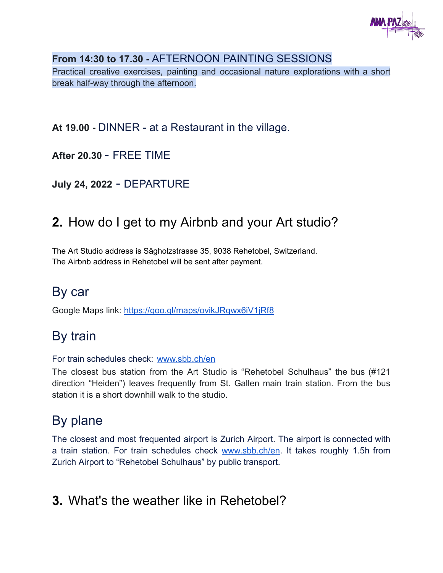

#### **From 14:30 to 17.30 -** AFTERNOON PAINTING SESSIONS

Practical creative exercises, painting and occasional nature explorations with a short break half-way through the afternoon.

**At 19.00 -** DINNER - at a Restaurant in the village.

**After 20.30** - FREE TIME

**July 24, 2022** - DEPARTURE

# **2.** How do I get to my Airbnb and your Art studio?

The Art Studio address is Sägholzstrasse 35, 9038 Rehetobel, Switzerland. The Airbnb address in Rehetobel will be sent after payment.

### By car

Google Maps link: <https://goo.gl/maps/ovikJRqwx6iV1jRf8>

# By train

For train schedules check: [www.sbb.ch/en](http://www.sbb.ch/en)

The closest bus station from the Art Studio is "Rehetobel Schulhaus" the bus (#121 direction "Heiden") leaves frequently from St. Gallen main train station. From the bus station it is a short downhill walk to the studio.

# By plane

The closest and most frequented airport is Zurich Airport. The airport is connected with a train station. For train schedules check [www.sbb.ch/en](http://www.sbb.ch/en). It takes roughly 1.5h from Zurich Airport to "Rehetobel Schulhaus" by public transport.

### **3.** What's the weather like in Rehetobel?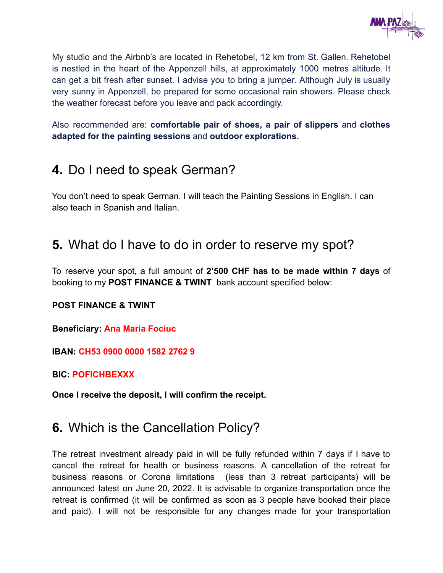

My studio and the Airbnb's are located in Rehetobel, 12 km from St. Gallen. Rehetobel is nestled in the heart of the Appenzell hills, at approximately 1000 metres altitude. It can get a bit fresh after sunset. I advise you to bring a jumper. Although July is usually very sunny in Appenzell, be prepared for some occasional rain showers. Please check the weather forecast before you leave and pack accordingly.

Also recommended are: **comfortable pair of shoes, a pair of slippers** and **clothes adapted for the painting sessions** and **outdoor explorations.**

### **4.** Do I need to speak German?

You don't need to speak German. I will teach the Painting Sessions in English. I can also teach in Spanish and Italian.

### **5.** What do I have to do in order to reserve my spot?

To reserve your spot, a full amount of **2'500 CHF has to be made within 7 days** of booking to my **POST FINANCE & TWINT** bank account specified below:

#### **POST FINANCE & TWINT**

**Beneficiary: Ana Maria Fociuc**

**IBAN: CH53 0900 0000 1582 2762 9**

**BIC: POFICHBEXXX**

**Once I receive the deposit, I will confirm the receipt.**

### **6.** Which is the Cancellation Policy?

The retreat investment already paid in will be fully refunded within 7 days if I have to cancel the retreat for health or business reasons. A cancellation of the retreat for business reasons or Corona limitations (less than 3 retreat participants) will be announced latest on June 20, 2022. It is advisable to organize transportation once the retreat is confirmed (it will be confirmed as soon as 3 people have booked their place and paid). I will not be responsible for any changes made for your transportation